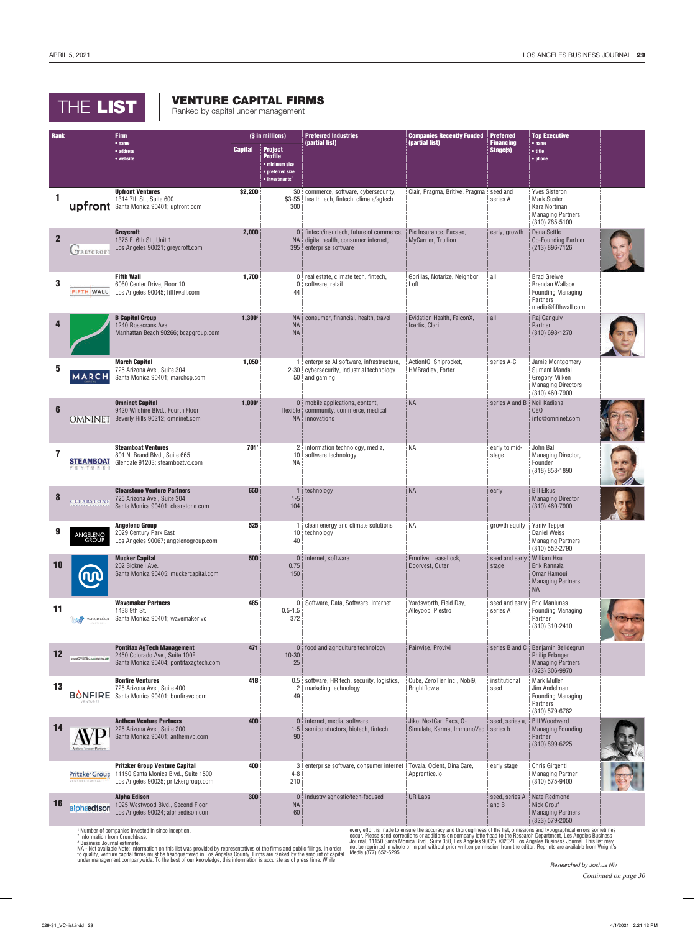## THE LIST **Ranked by capital under management**

## VENTURE CAPITAL FIRMS

| Rank         |                                          | <b>Firm</b>                                                                                                           |                | (\$ in millions)                                                                                             | <b>Preferred Industries</b>                                                                                    | <b>Companies Recently Funded</b>                               | Preferred                    | <b>Top Executive</b>                                                                                               |  |
|--------------|------------------------------------------|-----------------------------------------------------------------------------------------------------------------------|----------------|--------------------------------------------------------------------------------------------------------------|----------------------------------------------------------------------------------------------------------------|----------------------------------------------------------------|------------------------------|--------------------------------------------------------------------------------------------------------------------|--|
|              |                                          | • name<br>• address<br>• website                                                                                      | <b>Capital</b> | <b>Project</b><br><b>Profile</b><br>· minimum size<br>• preferred size<br>$\bullet$ investments <sup>1</sup> | (partial list)                                                                                                 | (partial list)                                                 | <b>Financing</b><br>Stage(s) | $•$ name<br>• title<br>• phone                                                                                     |  |
|              |                                          | <b>Upfront Ventures</b><br>1314 7th St., Suite 600<br><b>upfront</b> Santa Monica 90401; upfront.com                  | \$2,200        | 300                                                                                                          | \$0 commerce, software, cybersecurity,<br>\$3-\$5 health tech, fintech, climate/agtech                         | Clair, Pragma, Britive, Pragma                                 | seed and<br>series A         | <b>Yves Sisteron</b><br><b>Mark Suster</b><br>Kara Nortman<br><b>Managing Partners</b><br>(310) 785-5100           |  |
| $\mathbf{2}$ | <b>TREYCROF</b>                          | <b>Grevcroft</b><br>1375 E. 6th St., Unit 1<br>Los Angeles 90021; greycroft.com                                       | 2,000          |                                                                                                              | 0   fintech/insurtech, future of commerce,<br>NA digital health, consumer internet,<br>395 enterprise software | Pie Insurance, Pacaso,<br>MyCarrier, Trullion                  | early, growth                | Dana Settle<br><b>Co-Founding Partner</b><br>$(213) 896 - 7126$                                                    |  |
| 3            | FIFTH WALL                               | <b>Fifth Wall</b><br>6060 Center Drive, Floor 10<br>Los Angeles 90045; fifthwall.com                                  | 1,700          | 0<br>44                                                                                                      | 0 real estate, climate tech, fintech,<br>software, retail                                                      | Gorillas, Notarize, Neighbor,<br>Loft                          | all                          | <b>Brad Greiwe</b><br><b>Brendan Wallace</b><br><b>Founding Managing</b><br><b>Partners</b><br>media@fifthwall.com |  |
|              |                                          | <b>B Capital Group</b><br>1240 Rosecrans Ave.<br>Manhattan Beach 90266; bcapgroup.com                                 | $1,300^2$      | <b>NA</b><br><b>NA</b><br><b>NA</b>                                                                          | consumer, financial, health, travel                                                                            | Evidation Health, FalconX,<br>Icertis, Clari                   | all                          | Raj Ganguly<br>Partner<br>(310) 698-1270                                                                           |  |
| 5            | MARCH                                    | <b>March Capital</b><br>725 Arizona Ave., Suite 304<br>Santa Monica 90401; marchcp.com                                | 1,050          |                                                                                                              | enterprise AI software, infrastructure,<br>2-30 cybersecurity, industrial technology<br>50 and gaming          | ActionIQ, Shiprocket,<br>HMBradley, Forter                     | series A-C                   | Jamie Montgomery<br><b>Sumant Mandal</b><br><b>Gregory Milken</b><br><b>Managing Directors</b><br>(310) 460-7900   |  |
| 6            | <b>OMNINET</b>                           | <b>Omninet Capital</b><br>9420 Wilshire Blvd., Fourth Floor<br>Beverly Hills 90212; omninet.com                       | $1,000^3$      |                                                                                                              | 0 mobile applications, content,<br>flexible community, commerce, medical<br>NA innovations                     | <b>NA</b>                                                      | series A and B               | Neil Kadisha<br><b>CEO</b><br>info@omninet.com                                                                     |  |
|              | <b>STEAMBOA1</b>                         | <b>Steamboat Ventures</b><br>801 N. Brand Blvd., Suite 665<br>Glendale 91203; steamboatvc.com                         | $701^2$        | <b>NA</b>                                                                                                    | 2 information technology, media,<br>10 software technology                                                     | <b>NA</b>                                                      | early to mid-<br>stage       | John Ball<br>Managing Director,<br>Founder<br>(818) 858-1890                                                       |  |
| 8            | <b>CLEARSTON</b>                         | <b>Clearstone Venture Partners</b><br>725 Arizona Ave., Suite 304<br>Santa Monica 90401; clearstone.com               | 650            | $1-5$<br>104                                                                                                 | 1 technology                                                                                                   | <b>NA</b>                                                      | early                        | <b>Bill Elkus</b><br><b>Managing Director</b><br>(310) 460-7900                                                    |  |
| 9            | ANGELENO<br>GROUP                        | <b>Angeleno Group</b><br>2029 Century Park East<br>Los Angeles 90067; angelenogroup.com                               | 525            | 40                                                                                                           | 1 clean energy and climate solutions<br>10 technology                                                          | ΝA                                                             | growth equity                | Yaniv Tepper<br>Daniel Weiss<br><b>Managing Partners</b><br>$(310)$ 552-2790                                       |  |
| 10           |                                          | <b>Mucker Capital</b><br>202 Bicknell Ave.<br>Santa Monica 90405; muckercapital.com                                   | 500            | 0.75<br>150                                                                                                  | 0 internet, software                                                                                           | Emotive, LeaseLock,<br>Doorvest, Outer                         | seed and early<br>stage      | <b>William Hsu</b><br>Erik Rannala<br>Omar Hamoui<br><b>Managing Partners</b><br><b>NA</b>                         |  |
| 11           | wavemaker                                | <b>Wavemaker Partners</b><br>1438 9th St.<br>Santa Monica 90401; wavemaker.vc                                         | 485            | $0.5 - 1.5$<br>372                                                                                           | 0 Software, Data, Software, Internet                                                                           | Yardsworth, Field Day,<br>Alleyoop, Piestro                    | seed and early<br>series A   | Eric Manlunas<br><b>Founding Managing</b><br>Partner<br>(310) 310-2410                                             |  |
| 12           | <b>PORTHAVAUTEDHIS</b>                   | <b>Pontifax AgTech Management</b><br>2450 Colorado Ave., Suite 100E<br>Santa Monica 90404; pontifaxagtech.com         | 471            | $10 - 30$<br>25                                                                                              | 0 food and agriculture technology                                                                              | Pairwise, Provivi                                              | series B and C               | Benjamin Belldegrun<br><b>Philip Erlanger</b><br><b>Managing Partners</b><br>(323) 306-9970                        |  |
| 13           | <b>BONFIRE</b><br>VENTURES               | <b>Bonfire Ventures</b><br>725 Arizona Ave., Suite 400<br>Santa Monica 90401; bonfirevc.com                           | 418            | 2<br>49                                                                                                      | 0.5 software, HR tech, security, logistics,<br>marketing technology                                            | Cube, ZeroTier Inc., Nobl9,<br>Brightflow.ai                   | institutional<br>seed        | <b>Mark Mullen</b><br>Jim Andelman<br><b>Founding Managing</b><br>Partners<br>(310) 579-6782                       |  |
| 14           | <b>Authors Venture Partis</b>            | <b>Anthem Venture Partners</b><br>225 Arizona Ave., Suite 200<br>Santa Monica 90401; anthemvp.com                     | 400            | $1-5$<br>90                                                                                                  | 0 internet, media, software,<br>semiconductors, biotech, fintech                                               | Jiko, NextCar, Exos, Q-<br>Simulate, Karma, ImmunoVec series b | seed, series a,              | <b>Bill Woodward</b><br><b>Managing Founding</b><br>Partner<br>(310) 899-6225                                      |  |
|              | Pritzker Group<br><b>VENTURE CAPITAL</b> | <b>Pritzker Group Venture Capital</b><br>11150 Santa Monica Blvd., Suite 1500<br>Los Angeles 90025; pritzkergroup.com | 400            | $4 - 8$<br>210                                                                                               | 3 enterprise software, consumer internet                                                                       | Tovala, Ocient, Dina Care,<br>Apprentice.io                    | early stage                  | Chris Girgenti<br><b>Managing Partner</b><br>(310) 575-9400                                                        |  |
| 16           | alphaedison                              | <b>Alpha Edison</b><br>1025 Westwood Blvd., Second Floor<br>Los Angeles 90024; alphaedison.com                        | 300            | <b>NA</b><br>60                                                                                              | 0 industry agnostic/tech-focused                                                                               | <b>UR Labs</b>                                                 | seed, series A<br>and B      | Nate Redmond<br>Nick Grouf<br><b>Managing Partners</b><br>(323) 579-2050                                           |  |

**<sup>1</sup>** Number of companies invested in since inception. **<sup>2</sup>** Information from Crunchbase.

<sup>3</sup> Business Journal estimate.<br>NA - Not available Note: Information on this list was provided by representatives of the firms and public filings. In order<br>to qualify, venture capital firms must be headquartered in Los Ange

every effort is made to ensure the accuracy and thoroughness of the list, omissions and typographical errors sometimes<br>occur. Please send corrections or additions on company letterhead to the Research Department, Los Angel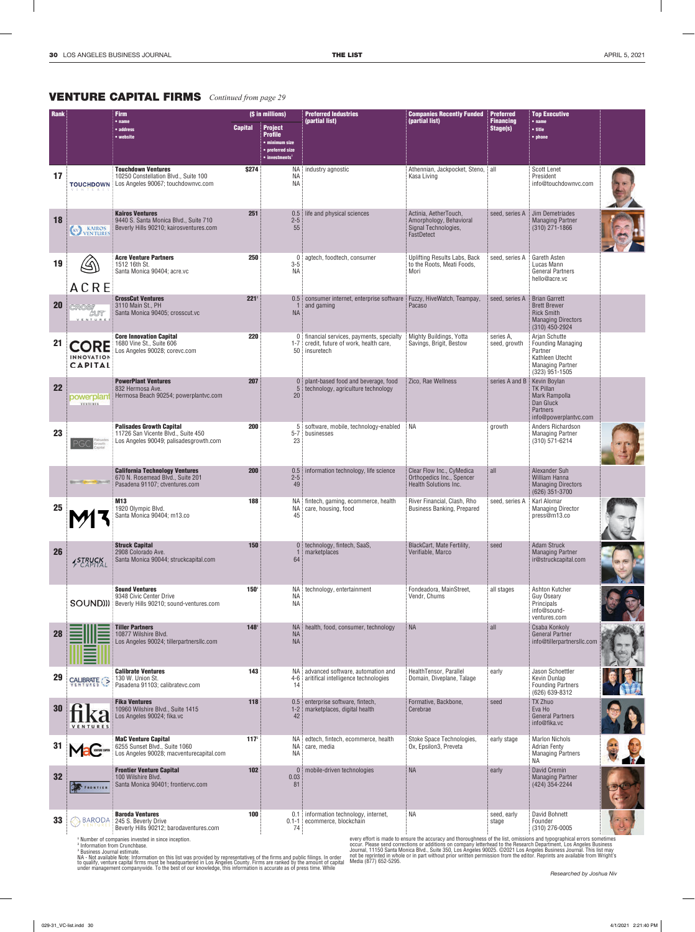## VENTURE CAPITAL FIRMS *Continued from page 29*

| <b>Rank</b> | <b>Firm</b>                          |                                                                                                                                                                   | (\$ in millions) |                                                                                                              | <b>Preferred Industries</b>                                                                            | <b>Companies Recently Funded</b>                                                                                             | <b>Preferred</b>             | <b>Top Executive</b>                                                                                                   |                          |
|-------------|--------------------------------------|-------------------------------------------------------------------------------------------------------------------------------------------------------------------|------------------|--------------------------------------------------------------------------------------------------------------|--------------------------------------------------------------------------------------------------------|------------------------------------------------------------------------------------------------------------------------------|------------------------------|------------------------------------------------------------------------------------------------------------------------|--------------------------|
|             |                                      | • name<br>• address<br>• website                                                                                                                                  | <b>Capital</b>   | <b>Project</b><br><b>Profile</b><br>• minimum size<br>• preferred size<br>$\bullet$ investments <sup>1</sup> | (partial list)                                                                                         | (partial list)                                                                                                               | <b>Financing</b><br>Stage(s) | $•$ name<br>• title<br>• phone                                                                                         |                          |
| 17          | <b>TOUCHDOWN</b><br>V E N T U R E    | <b>Touchdown Ventures</b><br>10250 Constellation Blvd., Suite 100<br>Los Angeles 90067; touchdownvc.com                                                           | \$274            | NA<br><b>NA</b>                                                                                              | NA industry agnostic                                                                                   | Athennian, Jackpocket, Steno, all<br>Kasa Living                                                                             |                              | <b>Scott Lenet</b><br>President<br>info@touchdownvc.com                                                                |                          |
| 18          | <b>KAIROS</b><br>VENTURES<br>(kV)    | <b>Kairos Ventures</b><br>9440 S. Santa Monica Blvd., Suite 710<br>Beverly Hills 90210; kairosventures.com                                                        | 251              | 0.5<br>$2 - 5$<br>55                                                                                         | life and physical sciences                                                                             | Actinia, AetherTouch,<br>Amorphology, Behavioral<br>Signal Technologies,<br>FastDetect                                       | seed, series A               | Jim Demetriades<br><b>Managing Partner</b><br>$(310)$ 271-1866                                                         |                          |
| 19          | ACRE                                 | <b>Acre Venture Partners</b><br>1512 16th St.<br>Santa Monica 90404; acre.vc                                                                                      | 250              | 0 <sup>1</sup><br>$3-5$<br><b>NA</b>                                                                         | agtech, foodtech, consumer                                                                             | Uplifting Results Labs, Back<br>to the Roots, Meati Foods,<br>Mori                                                           | seed, series A               | Gareth Asten<br>Lucas Mann<br><b>General Partners</b><br>hello@acre.vc                                                 |                          |
| 20          | VENTURE                              | <b>CrossCut Ventures</b><br>3110 Main St., PH<br>Santa Monica 90405; crosscut.vc                                                                                  | 221 <sup>2</sup> | <b>NA</b>                                                                                                    | 0.5 consumer internet, enterprise software<br>and gaming                                               | Fuzzy, HiveWatch, Teampay,<br>Pacaso                                                                                         | seed, series A               | <b>Brian Garrett</b><br><b>Brett Brewer</b><br><b>Rick Smith</b><br><b>Managing Directors</b><br>(310) 450-2924        |                          |
| 21          | CORE<br>INNOVATION<br><b>CAPITAL</b> | <b>Core Innovation Capital</b><br>1680 Vine St., Suite 606<br>Los Angeles 90028; corevc.com                                                                       | 220              |                                                                                                              | 0 financial services, payments, specialty<br>1-7 credit, future of work, health care,<br>50 insuretech | Mighty Buildings, Yotta<br>Savings, Brigit, Bestow                                                                           | series A.<br>seed, growth    | Arjan Schutte<br><b>Founding Managing</b><br>Partner<br>Kathleen Utecht<br><b>Managing Partner</b><br>$(323)$ 951-1505 |                          |
| 22          | powerplant<br><b>VENTILEES</b>       | <b>PowerPlant Ventures</b><br>832 Hermosa Ave.<br>Hermosa Beach 90254; powerplantvc.com                                                                           | 207              | $\mathbf{0}$<br>5<br>20                                                                                      | plant-based food and beverage, food<br>technology, agriculture technology                              | Zico, Rae Wellness                                                                                                           | series A and B               | Kevin Boylan<br><b>TK Pillan</b><br>Mark Rampolla<br>Dan Gluck<br><b>Partners</b><br>info@powerplantvc.com             |                          |
| 23          |                                      | <b>Palisades Growth Capital</b><br>11726 San Vicente Blvd., Suite 450<br>Los Angeles 90049; palisadesgrowth.com                                                   | 200              | $5 - 7$<br>23                                                                                                | 5 software, mobile, technology-enabled<br>businesses                                                   | ΝA                                                                                                                           | growth                       | Anders Richardson<br><b>Managing Partner</b><br>(310) 571-6214                                                         |                          |
|             | Birmilli proved David?               | <b>California Technology Ventures</b><br>670 N. Rosemead Blvd., Suite 201<br>Pasadena 91107; ctventures.com                                                       | 200              | 0.5<br>$2 - 5$<br>49                                                                                         | information technology, life science                                                                   | Clear Flow Inc., CyMedica<br>Orthopedics Inc., Spencer<br>Health Solutions Inc.                                              | all                          | Alexander Suh<br><b>William Hanna</b><br><b>Managing Directors</b><br>(626) 351-3700                                   |                          |
| 25          |                                      | M13<br>1920 Olympic Blvd.<br>Santa Monica 90404; m13.co                                                                                                           | 188              | NA !<br>45                                                                                                   | NA fintech, gaming, ecommerce, health<br>care, housing, food                                           | River Financial, Clash, Rho<br><b>Business Banking, Prepared</b>                                                             | seed, series A               | Karl Alomar<br><b>Managing Director</b><br>press@m13.co                                                                |                          |
| 26          | <b>STRUCK</b>                        | <b>Struck Capital</b><br>2908 Colorado Ave.<br>Santa Monica 90044; struckcapital.com                                                                              | 150              | $\mathbf{0}$<br>64                                                                                           | technology, fintech, SaaS,<br>marketplaces                                                             | BlackCart, Mate Fertility,<br>Verifiable, Marco                                                                              | seed                         | <b>Adam Struck</b><br><b>Managing Partner</b><br>ir@struckcapital.com                                                  |                          |
|             | <b>SOUND))</b>                       | <b>Sound Ventures</b><br>9348 Civic Center Drive<br>Beverly Hills 90210; sound-ventures.com                                                                       | 150 <sup>3</sup> | <b>NA</b><br>ΝA                                                                                              | NA technology, entertainment                                                                           | Fondeadora, MainStreet,<br>Vendr, Chums                                                                                      | all stages                   | Ashton Kutcher<br>Guy Oseary<br>Principals<br>info@sound-<br>ventures.com                                              |                          |
| 28          |                                      | <b>Tiller Partners</b><br>10877 Wilshire Blvd.<br>Los Angeles 90024; tillerpartnersllc.com                                                                        | 148 <sup>3</sup> | <b>NA</b><br><b>NA</b>                                                                                       | NA health, food, consumer, technology                                                                  | <b>NA</b>                                                                                                                    | all                          | Csaba Konkoly<br>General Partner<br>info@tillerpartnersllc.com                                                         |                          |
| 29          | CALIBRATE >                          | <b>Calibrate Ventures</b><br>130 W. Union St.<br>Pasadena 91103; calibratevc.com                                                                                  | 143              | 14                                                                                                           | NA advanced software, automation and<br>4-6 aritifical intelligence technologies                       | HealthTensor, Parallel<br>Domain, Diveplane, Talage                                                                          | early                        | Jason Schoettler<br>Kevin Dunlap<br><b>Founding Partners</b><br>(626) 639-8312                                         |                          |
| 30          |                                      | <b>Fika Ventures</b><br>10960 Wilshire Blvd., Suite 1415<br>Los Angeles 90024; fika.vc                                                                            | 118              | $1 - 2$<br>42                                                                                                | 0.5 enterprise software, fintech,<br>marketplaces, digital health                                      | Formative, Backbone,<br>Cerebrae                                                                                             | seed                         | <b>TX Zhuo</b><br>Eva Ho<br><b>General Partners</b><br>info@fika.vc                                                    |                          |
| 31          | Mac <sub>on</sub>                    | <b>MaC Venture Capital</b><br>6255 Sunset Blvd., Suite 1060<br>Los Angeles 90028; macventurecapital.com                                                           | 117 <sup>2</sup> | ΝA                                                                                                           | NA edtech, fintech, ecommerce, health<br>NA care, media                                                | Stoke Space Technologies,<br>Ox, Epsilon3, Preveta                                                                           | early stage                  | <b>Marlon Nichols</b><br><b>Adrian Fenty</b><br><b>Managing Partners</b><br><b>NA</b>                                  |                          |
| 32          | FRONTIER                             | <b>Frontier Venture Capital</b><br>100 Wilshire Blvd.<br>Santa Monica 90401; frontiervc.com                                                                       | 102              | 0.03<br>81                                                                                                   | 0 mobile-driven technologies                                                                           | <b>NA</b>                                                                                                                    | early                        | David Cremin<br><b>Managing Partner</b><br>(424) 354-2244                                                              |                          |
| 33          |                                      | <b>Baroda Ventures</b><br>BARODA 245 S. Beverly Drive<br>Beverly Hills 90212; barodaventures.com<br><sup>1</sup> Number of companies invested in since inception. | 100              | 74                                                                                                           | 0.1 information technology, internet,<br>0.1-1 ecommerce, blockchain                                   | ΝA<br>every effort is made to ensure the accuracy and thoroughness of the list, omissions and typographical errors sometimes | seed, early<br>stage         | David Bohnett<br>Founder<br>(310) 276-0005                                                                             | $\overline{ }$<br>$\geq$ |

<sup>1</sup> Number of companies invested in since inception.<br><sup>2</sup> Information from Crunchbase.<br><sup>3</sup> Business Journal estimate.<br>NA - Not available Note: Information on this list was provided by representatives of the firms and public

every effort is made to ensure the accuracy and thoroughness of the list, omissions and typographical errors sometimes<br>occur. Please send corrections or additions on company letterhead to the Research Department, Los Angel